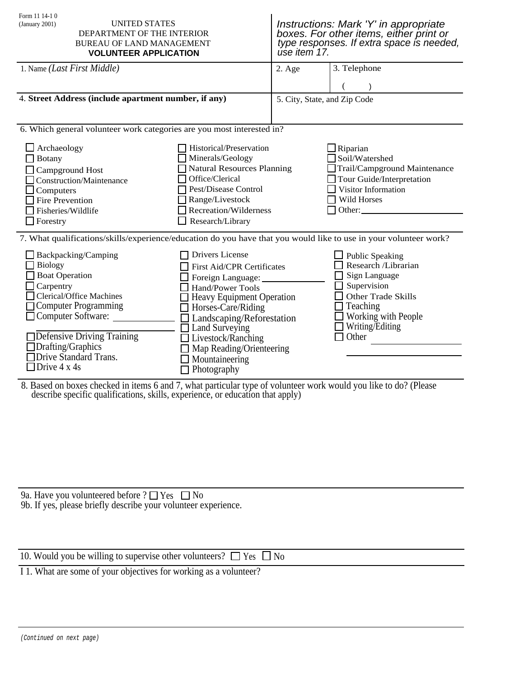| <b>UNITED STATES</b><br>DEPARTMENT OF THE INTERIOR<br><b>BUREAU OF LAND MANAGEMENT</b><br><b>VOLUNTEER APPLICATION</b>                        | úse item 17. | Instructions: Mark 'Y' in appropriate<br>boxes. For other items, either print or<br>type responses. If extra space is needed,                                                                                                                                                                                                                                                                                                                                                                                                   |
|-----------------------------------------------------------------------------------------------------------------------------------------------|--------------|---------------------------------------------------------------------------------------------------------------------------------------------------------------------------------------------------------------------------------------------------------------------------------------------------------------------------------------------------------------------------------------------------------------------------------------------------------------------------------------------------------------------------------|
|                                                                                                                                               | 2. Age       | 3. Telephone                                                                                                                                                                                                                                                                                                                                                                                                                                                                                                                    |
| 4. Street Address (include apartment number, if any)                                                                                          |              | 5. City, State, and Zip Code                                                                                                                                                                                                                                                                                                                                                                                                                                                                                                    |
|                                                                                                                                               |              |                                                                                                                                                                                                                                                                                                                                                                                                                                                                                                                                 |
| Historical/Preservation<br>Minerals/Geology<br>Office/Clerical<br>Pest/Disease Control<br>Range/Livestock<br>Research/Library                 |              | $\Box$ Riparian<br>Soil/Watershed<br>Trail/Campground Maintenance<br>Tour Guide/Interpretation<br>Visitor Information<br>Wild Horses<br>Other:                                                                                                                                                                                                                                                                                                                                                                                  |
|                                                                                                                                               |              |                                                                                                                                                                                                                                                                                                                                                                                                                                                                                                                                 |
| Drivers License<br>Hand/Power Tools<br>$\Box$ Horses-Care/Riding<br>□ Land Surveying<br>□ Livestock/Ranching<br>Mountaineering<br>Photography |              | <b>Public Speaking</b><br>Research /Librarian<br>Sign Language<br>Supervision<br>Other Trade Skills<br>Teaching<br>$\Box$ Working with People<br>$\Box$ Writing/Editing<br>Other                                                                                                                                                                                                                                                                                                                                                |
|                                                                                                                                               |              | 6. Which general volunteer work categories are you most interested in?<br><b>Natural Resources Planning</b><br>Recreation/Wilderness<br>7. What qualifications/skills/experience/education do you have that you would like to use in your volunteer work?<br>First Aid/CPR Certificates<br>Foreign Language:<br><b>Heavy Equipment Operation</b><br>I Landscaping/Reforestation<br>Map Reading/Orienteering<br>8. Based on boxes checked in items 6 and 7, what particular type of volunteer work would you like to do? (Please |

8. Based on boxes checked in items 6 and 7, what particular type of volunteer work would you like to do? (Please describe specific qualifications, skills, experience, or education that apply)

9a. Have you volunteered before  $? \square$  Yes  $\square$  No 9b. If yes, please briefly describe your volunteer experience.

| 10. Would you be willing to supervise other volunteers? $\Box$ Yes $\Box$ No |  |
|------------------------------------------------------------------------------|--|
|------------------------------------------------------------------------------|--|

I 1. What are some of your objectives for working as a volunteer?